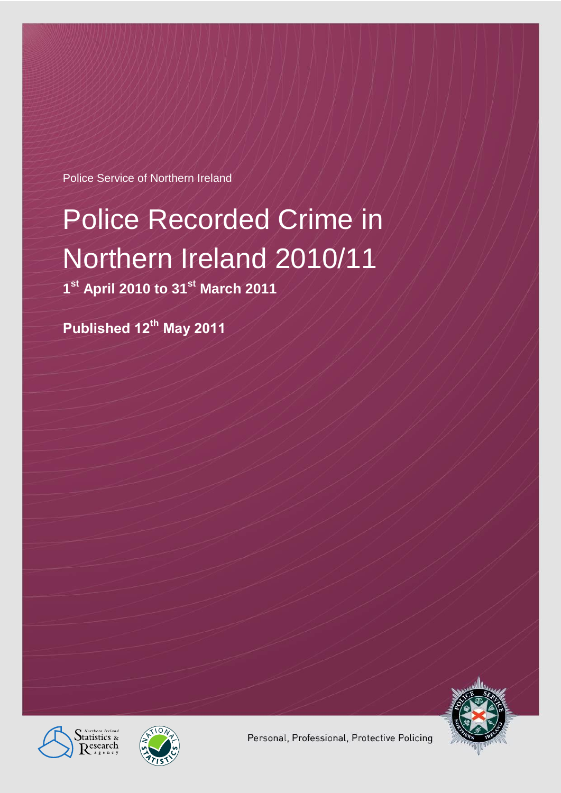Police Service of Northern Ireland

# Police Recorded Crime in Northern Ireland 2010/11

**1 st April 2010 to 31st March 2011**

**Published 12th May 2011**







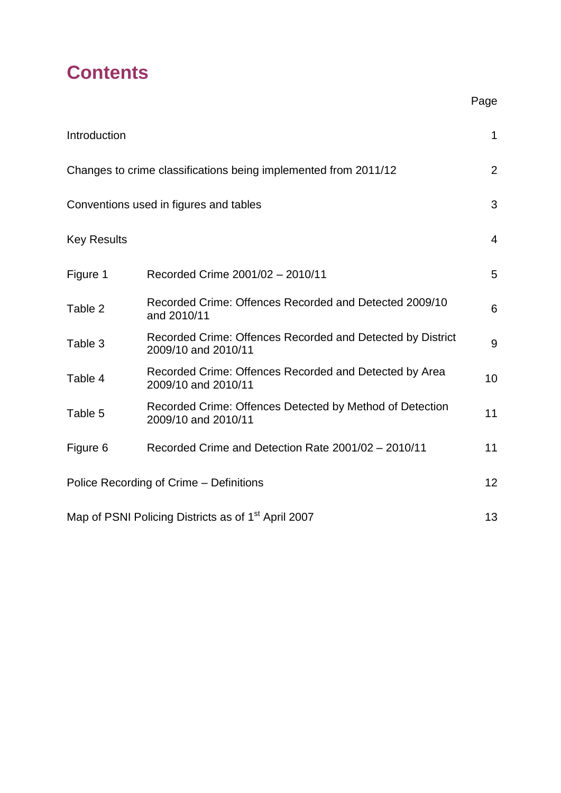# **Contents**

|                                                                 |                                                                                   | Page           |  |  |  |  |
|-----------------------------------------------------------------|-----------------------------------------------------------------------------------|----------------|--|--|--|--|
| Introduction                                                    |                                                                                   | $\mathbf 1$    |  |  |  |  |
|                                                                 | Changes to crime classifications being implemented from 2011/12                   | $\overline{2}$ |  |  |  |  |
| Conventions used in figures and tables                          |                                                                                   |                |  |  |  |  |
| <b>Key Results</b>                                              |                                                                                   | $\overline{4}$ |  |  |  |  |
| Figure 1                                                        | Recorded Crime 2001/02 - 2010/11                                                  | 5              |  |  |  |  |
| Table 2                                                         | Recorded Crime: Offences Recorded and Detected 2009/10<br>and 2010/11             | 6              |  |  |  |  |
| Table 3                                                         | Recorded Crime: Offences Recorded and Detected by District<br>2009/10 and 2010/11 | 9              |  |  |  |  |
| Table 4                                                         | Recorded Crime: Offences Recorded and Detected by Area<br>2009/10 and 2010/11     | 10             |  |  |  |  |
| Table 5                                                         | Recorded Crime: Offences Detected by Method of Detection<br>2009/10 and 2010/11   | 11             |  |  |  |  |
| Figure 6                                                        | Recorded Crime and Detection Rate 2001/02 - 2010/11                               | 11             |  |  |  |  |
| Police Recording of Crime - Definitions                         |                                                                                   |                |  |  |  |  |
| Map of PSNI Policing Districts as of 1 <sup>st</sup> April 2007 |                                                                                   |                |  |  |  |  |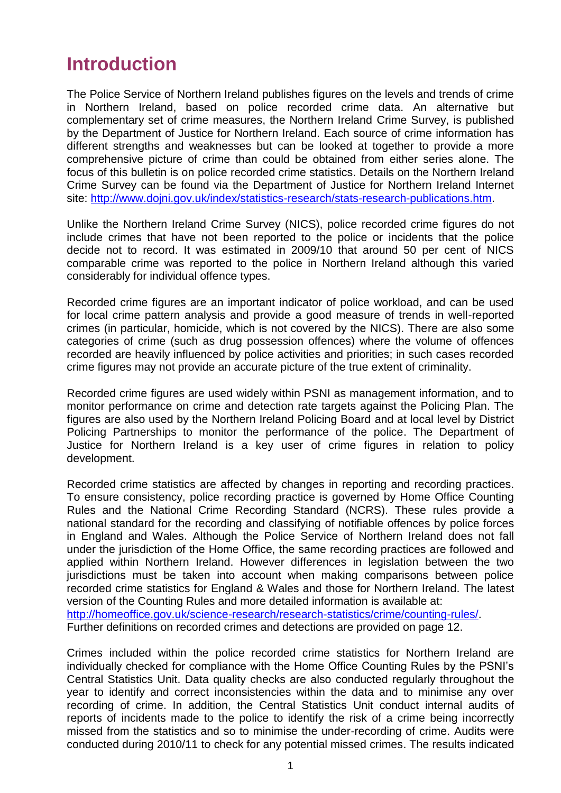### **Introduction**

The Police Service of Northern Ireland publishes figures on the levels and trends of crime in Northern Ireland, based on police recorded crime data. An alternative but complementary set of crime measures, the Northern Ireland Crime Survey, is published by the Department of Justice for Northern Ireland. Each source of crime information has different strengths and weaknesses but can be looked at together to provide a more comprehensive picture of crime than could be obtained from either series alone. The focus of this bulletin is on police recorded crime statistics. Details on the Northern Ireland Crime Survey can be found via the Department of Justice for Northern Ireland Internet site: [http://www.dojni.gov.uk/index/statistics-research/stats-research-publications.htm.](http://www.dojni.gov.uk/index/statistics-research/stats-research-publications.htm)

Unlike the Northern Ireland Crime Survey (NICS), police recorded crime figures do not include crimes that have not been reported to the police or incidents that the police decide not to record. It was estimated in 2009/10 that around 50 per cent of NICS comparable crime was reported to the police in Northern Ireland although this varied considerably for individual offence types.

Recorded crime figures are an important indicator of police workload, and can be used for local crime pattern analysis and provide a good measure of trends in well-reported crimes (in particular, homicide, which is not covered by the NICS). There are also some categories of crime (such as drug possession offences) where the volume of offences recorded are heavily influenced by police activities and priorities; in such cases recorded crime figures may not provide an accurate picture of the true extent of criminality.

Recorded crime figures are used widely within PSNI as management information, and to monitor performance on crime and detection rate targets against the Policing Plan. The figures are also used by the Northern Ireland Policing Board and at local level by District Policing Partnerships to monitor the performance of the police. The Department of Justice for Northern Ireland is a key user of crime figures in relation to policy development.

Recorded crime statistics are affected by changes in reporting and recording practices. To ensure consistency, police recording practice is governed by Home Office Counting Rules and the National Crime Recording Standard (NCRS). These rules provide a national standard for the recording and classifying of notifiable offences by police forces in England and Wales. Although the Police Service of Northern Ireland does not fall under the jurisdiction of the Home Office, the same recording practices are followed and applied within Northern Ireland. However differences in legislation between the two jurisdictions must be taken into account when making comparisons between police recorded crime statistics for England & Wales and those for Northern Ireland. The latest version of the Counting Rules and more detailed information is available at: [http://homeoffice.gov.uk/science-research/research-statistics/crime/counting-rules/.](http://homeoffice.gov.uk/science-research/research-statistics/crime/counting-rules/) Further definitions on recorded crimes and detections are provided on page 12.

Crimes included within the police recorded crime statistics for Northern Ireland are individually checked for compliance with the Home Office Counting Rules by the PSNI's Central Statistics Unit. Data quality checks are also conducted regularly throughout the year to identify and correct inconsistencies within the data and to minimise any over recording of crime. In addition, the Central Statistics Unit conduct internal audits of reports of incidents made to the police to identify the risk of a crime being incorrectly missed from the statistics and so to minimise the under-recording of crime. Audits were conducted during 2010/11 to check for any potential missed crimes. The results indicated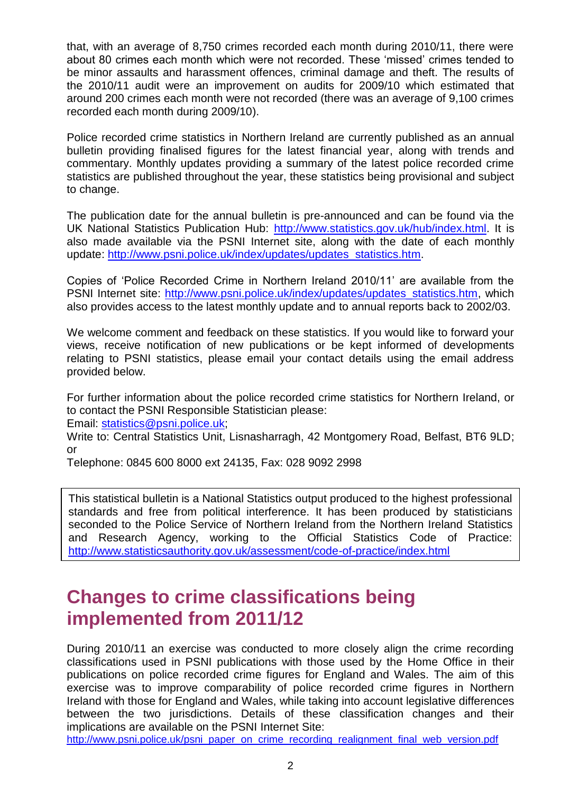that, with an average of 8,750 crimes recorded each month during 2010/11, there were about 80 crimes each month which were not recorded. These 'missed' crimes tended to be minor assaults and harassment offences, criminal damage and theft. The results of the 2010/11 audit were an improvement on audits for 2009/10 which estimated that around 200 crimes each month were not recorded (there was an average of 9,100 crimes recorded each month during 2009/10).

Police recorded crime statistics in Northern Ireland are currently published as an annual bulletin providing finalised figures for the latest financial year, along with trends and commentary. Monthly updates providing a summary of the latest police recorded crime statistics are published throughout the year, these statistics being provisional and subject to change.

The publication date for the annual bulletin is pre-announced and can be found via the UK National Statistics Publication Hub: [http://www.statistics.gov.uk/hub/index.html.](http://www.statistics.gov.uk/hub/index.html) It is also made available via the PSNI Internet site, along with the date of each monthly update: [http://www.psni.police.uk/index/updates/updates\\_statistics.htm.](http://www.psni.police.uk/index/updates/updates_statistics.htm)

Copies of 'Police Recorded Crime in Northern Ireland 2010/11' are available from the PSNI Internet site: [http://www.psni.police.uk/index/updates/updates\\_statistics.htm,](http://www.psni.police.uk/index/updates/updates_statistics.htm) which also provides access to the latest monthly update and to annual reports back to 2002/03.

We welcome comment and feedback on these statistics. If you would like to forward your views, receive notification of new publications or be kept informed of developments relating to PSNI statistics, please email your contact details using the email address provided below.

For further information about the police recorded crime statistics for Northern Ireland, or to contact the PSNI Responsible Statistician please:

Email: [statistics@psni.police.uk;](mailto:statistics@psni.police.uk)

Write to: Central Statistics Unit, Lisnasharragh, 42 Montgomery Road, Belfast, BT6 9LD; or

Telephone: 0845 600 8000 ext 24135, Fax: 028 9092 2998

This statistical bulletin is a National Statistics output produced to the highest professional standards and free from political interference. It has been produced by statisticians seconded to the Police Service of Northern Ireland from the Northern Ireland Statistics and Research Agency, working to the Official Statistics Code of Practice: <http://www.statisticsauthority.gov.uk/assessment/code-of-practice/index.html>

### **Changes to crime classifications being implemented from 2011/12**

During 2010/11 an exercise was conducted to more closely align the crime recording classifications used in PSNI publications with those used by the Home Office in their publications on police recorded crime figures for England and Wales. The aim of this exercise was to improve comparability of police recorded crime figures in Northern Ireland with those for England and Wales, while taking into account legislative differences between the two jurisdictions. Details of these classification changes and their implications are available on the PSNI Internet Site:

[http://www.psni.police.uk/psni\\_paper\\_on\\_crime\\_recording\\_realignment\\_final\\_web\\_version.pdf](http://www.psni.police.uk/psni_paper_on_crime_recording_realignment_final_web_version.pdf)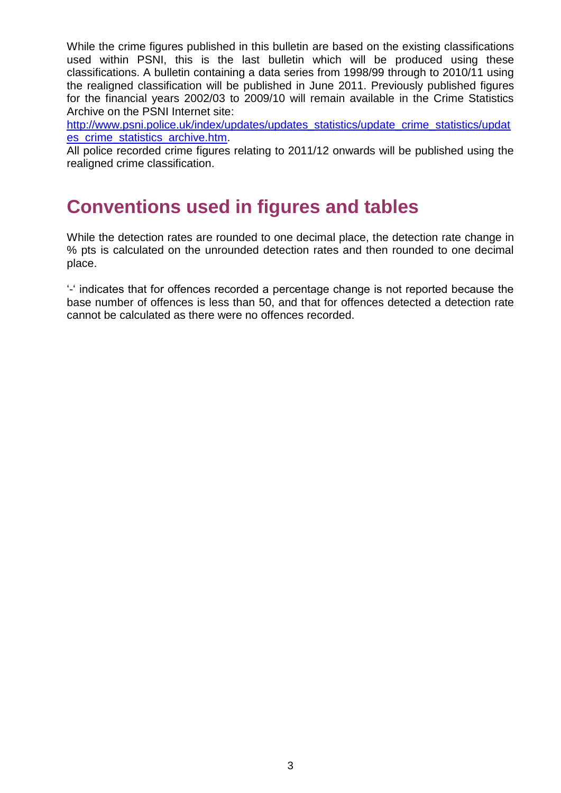While the crime figures published in this bulletin are based on the existing classifications used within PSNI, this is the last bulletin which will be produced using these classifications. A bulletin containing a data series from 1998/99 through to 2010/11 using the realigned classification will be published in June 2011. Previously published figures for the financial years 2002/03 to 2009/10 will remain available in the Crime Statistics Archive on the PSNI Internet site:

[http://www.psni.police.uk/index/updates/updates\\_statistics/update\\_crime\\_statistics/updat](http://www.psni.police.uk/index/updates/updates_statistics/update_crime_statistics/updates_crime_statistics_archive.htm) es crime statistics archive.htm.

All police recorded crime figures relating to 2011/12 onwards will be published using the realigned crime classification.

## **Conventions used in figures and tables**

While the detection rates are rounded to one decimal place, the detection rate change in % pts is calculated on the unrounded detection rates and then rounded to one decimal place.

'-' indicates that for offences recorded a percentage change is not reported because the base number of offences is less than 50, and that for offences detected a detection rate cannot be calculated as there were no offences recorded.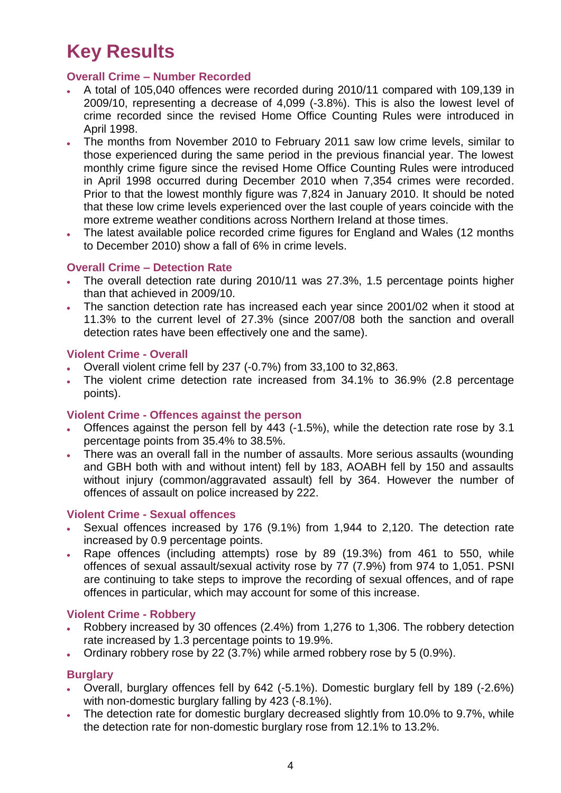# **Key Results**

#### **Overall Crime – Number Recorded**

- A total of 105,040 offences were recorded during 2010/11 compared with 109,139 in 2009/10, representing a decrease of 4,099 (-3.8%). This is also the lowest level of crime recorded since the revised Home Office Counting Rules were introduced in April 1998.
- The months from November 2010 to February 2011 saw low crime levels, similar to those experienced during the same period in the previous financial year. The lowest monthly crime figure since the revised Home Office Counting Rules were introduced in April 1998 occurred during December 2010 when 7,354 crimes were recorded. Prior to that the lowest monthly figure was 7,824 in January 2010. It should be noted that these low crime levels experienced over the last couple of years coincide with the more extreme weather conditions across Northern Ireland at those times.
- The latest available police recorded crime figures for England and Wales (12 months to December 2010) show a fall of 6% in crime levels.

#### **Overall Crime – Detection Rate**

- The overall detection rate during 2010/11 was 27.3%, 1.5 percentage points higher than that achieved in 2009/10.
- The sanction detection rate has increased each year since 2001/02 when it stood at 11.3% to the current level of 27.3% (since 2007/08 both the sanction and overall detection rates have been effectively one and the same).

#### **Violent Crime - Overall**

- Overall violent crime fell by 237 (-0.7%) from 33,100 to 32,863.
- The violent crime detection rate increased from 34.1% to 36.9% (2.8 percentage points).

#### **Violent Crime - Offences against the person**

- Offences against the person fell by 443 (-1.5%), while the detection rate rose by 3.1 percentage points from 35.4% to 38.5%.
- There was an overall fall in the number of assaults. More serious assaults (wounding and GBH both with and without intent) fell by 183, AOABH fell by 150 and assaults without injury (common/aggravated assault) fell by 364. However the number of offences of assault on police increased by 222.

#### **Violent Crime - Sexual offences**

- Sexual offences increased by 176 (9.1%) from 1,944 to 2,120. The detection rate increased by 0.9 percentage points.
- Rape offences (including attempts) rose by 89 (19.3%) from 461 to 550, while offences of sexual assault/sexual activity rose by 77 (7.9%) from 974 to 1,051. PSNI are continuing to take steps to improve the recording of sexual offences, and of rape offences in particular, which may account for some of this increase.

#### **Violent Crime - Robbery**

- Robbery increased by 30 offences (2.4%) from 1,276 to 1,306. The robbery detection rate increased by 1.3 percentage points to 19.9%.
- Ordinary robbery rose by 22 (3.7%) while armed robbery rose by 5 (0.9%).

#### **Burglary**

- Overall, burglary offences fell by 642 (-5.1%). Domestic burglary fell by 189 (-2.6%) with non-domestic burglary falling by 423 (-8.1%).
- The detection rate for domestic burglary decreased slightly from 10.0% to 9.7%, while  $\bullet$ the detection rate for non-domestic burglary rose from 12.1% to 13.2%.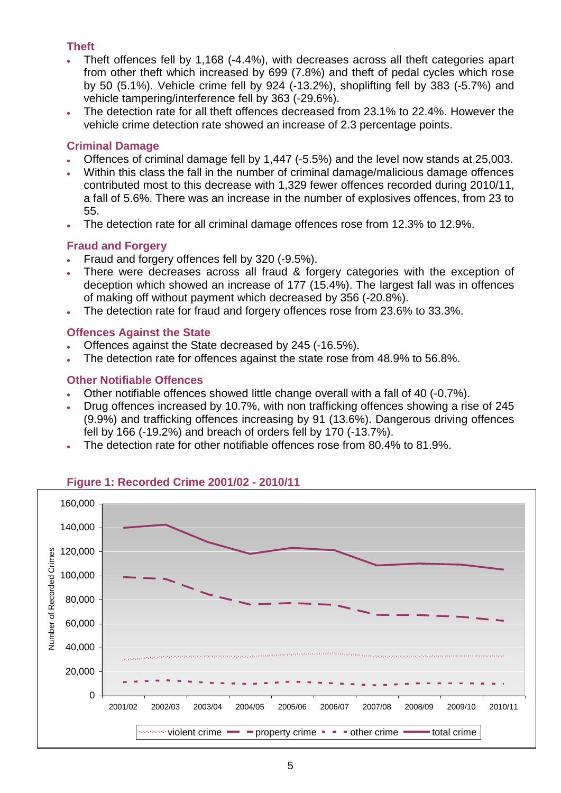#### **Theft**

- Theft offences fell by 1,168 (-4.4%), with decreases across all theft categories apart from other theft which increased by 699 (7.8%) and theft of pedal cycles which rose by 50 (5.1%). Vehicle crime fell by 924 (-13.2%), shoplifting fell by 383 (-5.7%) and vehicle tampering/interference fell by 363 (-29.6%).
- The detection rate for all theft offences decreased from 23.1% to 22.4%. However the vehicle crime detection rate showed an increase of 2.3 percentage points.

#### **Criminal Damage**

- Offences of criminal damage fell by 1,447 (-5.5%) and the level now stands at 25,003.
- Within this class the fall in the number of criminal damage/malicious damage offences contributed most to this decrease with 1,329 fewer offences recorded during 2010/11, a fall of 5.6%. There was an increase in the number of explosives offences, from 23 to 55.
- The detection rate for all criminal damage offences rose from 12.3% to 12.9%.

#### **Fraud and Forgery**

- Fraud and forgery offences fell by 320 (-9.5%).
- There were decreases across all fraud & forgery categories with the exception of deception which showed an increase of 177 (15.4%). The largest fall was in offences of making off without payment which decreased by 356 (-20.8%).
- The detection rate for fraud and forgery offences rose from 23.6% to 33.3%.

#### **Offences Against the State**

- Offences against the State decreased by 245 (-16.5%).
- The detection rate for offences against the state rose from 48.9% to 56.8%.

#### **Other Notifiable Offences**

- Other notifiable offences showed little change overall with a fall of 40 (-0.7%).
- Drug offences increased by 10.7%, with non trafficking offences showing a rise of 245 (9.9%) and trafficking offences increasing by 91 (13.6%). Dangerous driving offences fell by 166 (-19.2%) and breach of orders fell by 170 (-13.7%).
- The detection rate for other notifiable offences rose from 80.4% to 81.9%.



#### **Figure 1: Recorded Crime 2001/02 - 2010/11**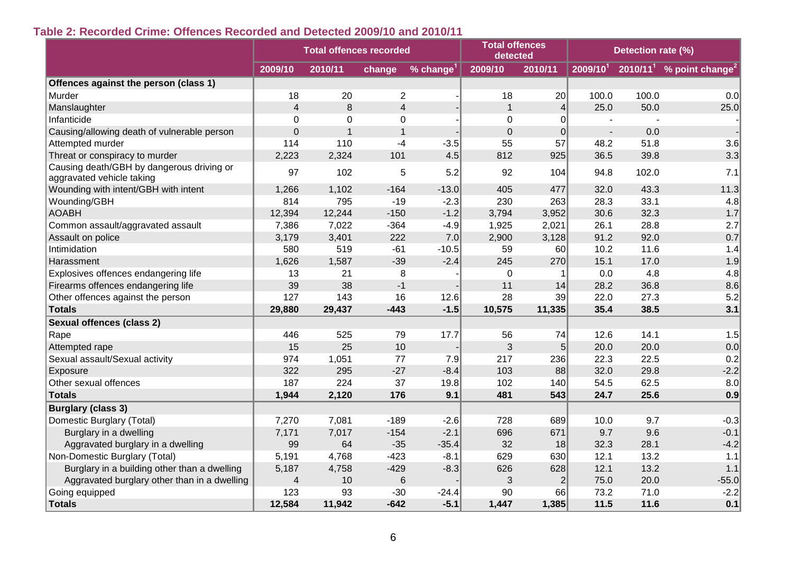### **Table 2: Recorded Crime: Offences Recorded and Detected 2009/10 and 2010/11**

|                                                                        | <b>Total offences recorded</b> |                |                         |          | <b>Total offences</b><br>detected |                  |                | Detection rate (%) |                                        |
|------------------------------------------------------------------------|--------------------------------|----------------|-------------------------|----------|-----------------------------------|------------------|----------------|--------------------|----------------------------------------|
|                                                                        | 2009/10                        | 2010/11        | change                  | % change | 2009/10                           | 2010/11          | $2009/10^{1}$  |                    | $2010/111$ % point change <sup>2</sup> |
| Offences against the person (class 1)                                  |                                |                |                         |          |                                   |                  |                |                    |                                        |
| Murder                                                                 | 18                             | 20             | $\overline{2}$          |          | 18                                | 20               | 100.0          | 100.0              | 0.0                                    |
| Manslaughter                                                           | $\overline{4}$                 | 8              | $\overline{\mathbf{4}}$ |          | 1                                 | $\overline{4}$   | 25.0           | 50.0               | 25.0                                   |
| Infanticide                                                            | $\overline{0}$                 | $\Omega$       | $\overline{0}$          |          | 0                                 | $\Omega$         |                |                    |                                        |
| Causing/allowing death of vulnerable person                            | $\mathbf 0$                    | $\overline{1}$ | $\mathbf{1}$            |          | $\mathbf 0$                       | $\overline{0}$   | $\blacksquare$ | 0.0                |                                        |
| Attempted murder                                                       | 114                            | 110            | $-4$                    | $-3.5$   | 55                                | 57               | 48.2           | 51.8               | 3.6                                    |
| Threat or conspiracy to murder                                         | 2,223                          | 2,324          | 101                     | 4.5      | 812                               | 925              | 36.5           | 39.8               | 3.3                                    |
| Causing death/GBH by dangerous driving or<br>aggravated vehicle taking | 97                             | 102            | 5                       | 5.2      | 92                                | 104              | 94.8           | 102.0              | 7.1                                    |
| Wounding with intent/GBH with intent                                   | 1,266                          | 1,102          | $-164$                  | $-13.0$  | 405                               | 477              | 32.0           | 43.3               | 11.3                                   |
| Wounding/GBH                                                           | 814                            | 795            | $-19$                   | $-2.3$   | 230                               | 263              | 28.3           | 33.1               | 4.8                                    |
| <b>AOABH</b>                                                           | 12,394                         | 12,244         | $-150$                  | $-1.2$   | 3,794                             | 3,952            | 30.6           | 32.3               | 1.7                                    |
| Common assault/aggravated assault                                      | 7,386                          | 7,022          | $-364$                  | $-4.9$   | 1,925                             | 2,021            | 26.1           | 28.8               | 2.7                                    |
| Assault on police                                                      | 3,179                          | 3,401          | 222                     | 7.0      | 2,900                             | 3,128            | 91.2           | 92.0               | 0.7                                    |
| Intimidation                                                           | 580                            | 519            | $-61$                   | $-10.5$  | 59                                | 60               | 10.2           | 11.6               | 1.4                                    |
| Harassment                                                             | 1,626                          | 1,587          | $-39$                   | $-2.4$   | 245                               | 270              | 15.1           | 17.0               | 1.9                                    |
| Explosives offences endangering life                                   | 13                             | 21             | 8                       |          | $\mathbf 0$                       |                  | 0.0            | 4.8                | 4.8                                    |
| Firearms offences endangering life                                     | 39                             | 38             | $-1$                    |          | 11                                | 14               | 28.2           | 36.8               | 8.6                                    |
| Other offences against the person                                      | 127                            | 143            | 16                      | 12.6     | 28                                | 39               | 22.0           | 27.3               | 5.2                                    |
| <b>Totals</b>                                                          | 29,880                         | 29,437         | $-443$                  | $-1.5$   | 10,575                            | 11,335           | 35.4           | 38.5               | 3.1                                    |
| <b>Sexual offences (class 2)</b>                                       |                                |                |                         |          |                                   |                  |                |                    |                                        |
| Rape                                                                   | 446                            | 525            | 79                      | 17.7     | 56                                | 74               | 12.6           | 14.1               | 1.5                                    |
| Attempted rape                                                         | 15                             | 25             | 10                      |          | 3                                 | 5                | 20.0           | 20.0               | 0.0                                    |
| Sexual assault/Sexual activity                                         | 974                            | 1,051          | 77                      | 7.9      | 217                               | 236              | 22.3           | 22.5               | 0.2                                    |
| Exposure                                                               | 322                            | 295            | $-27$                   | $-8.4$   | 103                               | 88               | 32.0           | 29.8               | $-2.2$                                 |
| Other sexual offences                                                  | 187                            | 224            | 37                      | 19.8     | 102                               | 140              | 54.5           | 62.5               | 8.0                                    |
| <b>Totals</b>                                                          | 1,944                          | 2,120          | 176                     | 9.1      | 481                               | 543              | 24.7           | 25.6               | 0.9                                    |
| <b>Burglary (class 3)</b>                                              |                                |                |                         |          |                                   |                  |                |                    |                                        |
| Domestic Burglary (Total)                                              | 7,270                          | 7,081          | $-189$                  | $-2.6$   | 728                               | 689              | 10.0           | 9.7                | $-0.3$                                 |
| Burglary in a dwelling                                                 | 7,171                          | 7,017          | $-154$                  | $-2.1$   | 696                               | 671              | 9.7            | 9.6                | $-0.1$                                 |
| Aggravated burglary in a dwelling                                      | 99                             | 64             | $-35$                   | $-35.4$  | 32                                | 18               | 32.3           | 28.1               | $-4.2$                                 |
| Non-Domestic Burglary (Total)                                          | 5,191                          | 4,768          | $-423$                  | $-8.1$   | 629                               | 630              | 12.1           | 13.2               | 1.1                                    |
| Burglary in a building other than a dwelling                           | 5,187                          | 4,758          | $-429$                  | $-8.3$   | 626                               | 628              | 12.1           | 13.2               | $1.1$                                  |
| Aggravated burglary other than in a dwelling                           | $\overline{4}$                 | 10             | $6\phantom{1}6$         |          | 3                                 | $\left 2\right $ | 75.0           | 20.0               | $-55.0$                                |
| Going equipped                                                         | 123                            | 93             | $-30$                   | $-24.4$  | 90                                | 66               | 73.2           | 71.0               | $-2.2$                                 |
| <b>Totals</b>                                                          | 12,584                         | 11,942         | $-642$                  | $-5.1$   | 1,447                             | 1,385            | 11.5           | 11.6               | 0.1                                    |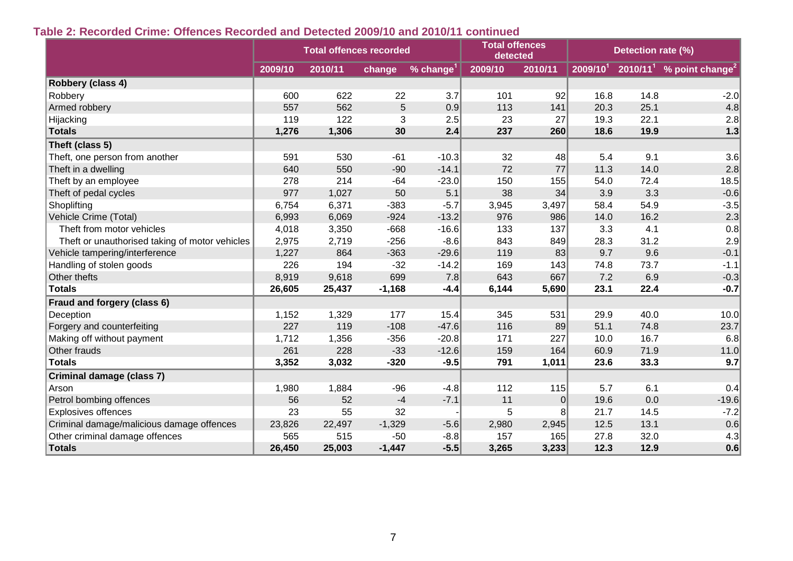#### **Table 2: Recorded Crime: Offences Recorded and Detected 2009/10 and 2010/11 continued**

|                                                | <b>Total offences recorded</b> |         |          |               | <b>Total offences</b><br>detected |                |                | Detection rate (%) |                                        |  |
|------------------------------------------------|--------------------------------|---------|----------|---------------|-----------------------------------|----------------|----------------|--------------------|----------------------------------------|--|
|                                                | 2009/10                        | 2010/11 | change   | % change $^1$ | 2009/10                           | 2010/11        | $2009/10^{11}$ |                    | $2010/111$ % point change <sup>2</sup> |  |
| Robbery (class 4)                              |                                |         |          |               |                                   |                |                |                    |                                        |  |
| Robbery                                        | 600                            | 622     | 22       | 3.7           | 101                               | 92             | 16.8           | 14.8               | $-2.0$                                 |  |
| Armed robbery                                  | 557                            | 562     | 5        | 0.9           | 113                               | 141            | 20.3           | 25.1               | 4.8                                    |  |
| Hijacking                                      | 119                            | 122     | 3        | 2.5           | 23                                | 27             | 19.3           | 22.1               | 2.8                                    |  |
| <b>Totals</b>                                  | 1,276                          | 1,306   | 30       | 2.4           | 237                               | 260            | 18.6           | 19.9               | $1.3$                                  |  |
| Theft (class 5)                                |                                |         |          |               |                                   |                |                |                    |                                        |  |
| Theft, one person from another                 | 591                            | 530     | $-61$    | $-10.3$       | 32                                | 48             | 5.4            | 9.1                | 3.6                                    |  |
| Theft in a dwelling                            | 640                            | 550     | $-90$    | $-14.1$       | 72                                | 77             | 11.3           | 14.0               | 2.8                                    |  |
| Theft by an employee                           | 278                            | 214     | $-64$    | $-23.0$       | 150                               | 155            | 54.0           | 72.4               | 18.5                                   |  |
| Theft of pedal cycles                          | 977                            | 1,027   | 50       | 5.1           | 38                                | 34             | 3.9            | 3.3                | $-0.6$                                 |  |
| Shoplifting                                    | 6,754                          | 6,371   | $-383$   | $-5.7$        | 3,945                             | 3,497          | 58.4           | 54.9               | $-3.5$                                 |  |
| Vehicle Crime (Total)                          | 6,993                          | 6,069   | $-924$   | $-13.2$       | 976                               | 986            | 14.0           | 16.2               | 2.3                                    |  |
| Theft from motor vehicles                      | 4,018                          | 3,350   | $-668$   | $-16.6$       | 133                               | 137            | 3.3            | 4.1                | 0.8                                    |  |
| Theft or unauthorised taking of motor vehicles | 2,975                          | 2,719   | $-256$   | $-8.6$        | 843                               | 849            | 28.3           | 31.2               | 2.9                                    |  |
| Vehicle tampering/interference                 | 1,227                          | 864     | $-363$   | $-29.6$       | 119                               | 83             | 9.7            | 9.6                | $-0.1$                                 |  |
| Handling of stolen goods                       | 226                            | 194     | $-32$    | $-14.2$       | 169                               | 143            | 74.8           | 73.7               | $-1.1$                                 |  |
| Other thefts                                   | 8,919                          | 9,618   | 699      | 7.8           | 643                               | 667            | 7.2            | 6.9                | $-0.3$                                 |  |
| <b>Totals</b>                                  | 26,605                         | 25,437  | $-1,168$ | $-4.4$        | 6,144                             | 5,690          | 23.1           | 22.4               | $-0.7$                                 |  |
| Fraud and forgery (class 6)                    |                                |         |          |               |                                   |                |                |                    |                                        |  |
| Deception                                      | 1,152                          | 1,329   | 177      | 15.4          | 345                               | 531            | 29.9           | 40.0               | 10.0                                   |  |
| Forgery and counterfeiting                     | 227                            | 119     | $-108$   | $-47.6$       | 116                               | 89             | 51.1           | 74.8               | 23.7                                   |  |
| Making off without payment                     | 1,712                          | 1,356   | $-356$   | $-20.8$       | 171                               | 227            | 10.0           | 16.7               | 6.8                                    |  |
| Other frauds                                   | 261                            | 228     | $-33$    | $-12.6$       | 159                               | 164            | 60.9           | 71.9               | 11.0                                   |  |
| <b>Totals</b>                                  | 3,352                          | 3,032   | $-320$   | $-9.5$        | 791                               | 1,011          | 23.6           | 33.3               | 9.7                                    |  |
| Criminal damage (class 7)                      |                                |         |          |               |                                   |                |                |                    |                                        |  |
| Arson                                          | 1,980                          | 1,884   | $-96$    | $-4.8$        | 112                               | 115            | 5.7            | 6.1                | 0.4                                    |  |
| Petrol bombing offences                        | 56                             | 52      | $-4$     | $-7.1$        | 11                                | $\overline{0}$ | 19.6           | 0.0                | $-19.6$                                |  |
| <b>Explosives offences</b>                     | 23                             | 55      | 32       |               | 5                                 | 8              | 21.7           | 14.5               | $-7.2$                                 |  |
| Criminal damage/malicious damage offences      | 23,826                         | 22,497  | $-1,329$ | $-5.6$        | 2,980                             | 2,945          | 12.5           | 13.1               | 0.6                                    |  |
| Other criminal damage offences                 | 565                            | 515     | $-50$    | $-8.8$        | 157                               | 165            | 27.8           | 32.0               | 4.3                                    |  |
| <b>Totals</b>                                  | 26,450                         | 25,003  | $-1,447$ | $-5.5$        | 3,265                             | 3,233          | 12.3           | 12.9               | 0.6                                    |  |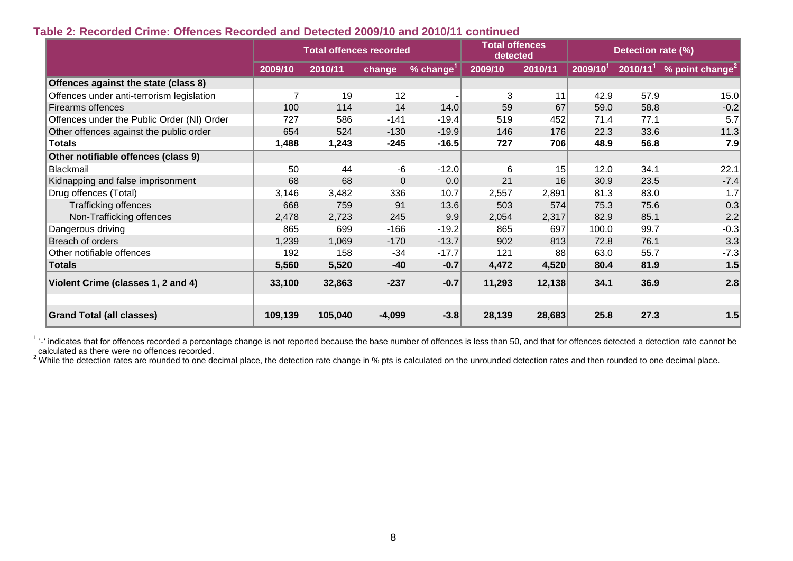#### **Table 2: Recorded Crime: Offences Recorded and Detected 2009/10 and 2010/11 continued**

|                                            | <b>Total offences recorded</b> |         |                |                       | <b>Total offences</b><br>detected |         |                | Detection rate (%) |                                        |
|--------------------------------------------|--------------------------------|---------|----------------|-----------------------|-----------------------------------|---------|----------------|--------------------|----------------------------------------|
|                                            | 2009/10                        | 2010/11 | change         | % change <sup>1</sup> | 2009/10                           | 2010/11 | $2009/10^{11}$ |                    | $2010/111$ % point change <sup>2</sup> |
| Offences against the state (class 8)       |                                |         |                |                       |                                   |         |                |                    |                                        |
| Offences under anti-terrorism legislation  | $\overline{7}$                 | 19      | 12             |                       | 3                                 | 11      | 42.9           | 57.9               | 15.0                                   |
| <b>Firearms offences</b>                   | 100                            | 114     | 14             | 14.0                  | 59                                | 67      | 59.0           | 58.8               | $-0.2$                                 |
| Offences under the Public Order (NI) Order | 727                            | 586     | $-141$         | $-19.4$               | 519                               | 452     | 71.4           | 77.1               | 5.7                                    |
| Other offences against the public order    | 654                            | 524     | $-130$         | $-19.9$               | 146                               | 176     | 22.3           | 33.6               | 11.3                                   |
| <b>Totals</b>                              | 1,488                          | 1,243   | $-245$         | $-16.5$               | 727                               | 706     | 48.9           | 56.8               | 7.9                                    |
| Other notifiable offences (class 9)        |                                |         |                |                       |                                   |         |                |                    |                                        |
| <b>Blackmail</b>                           | 50                             | 44      | -6             | $-12.0$               | 6                                 | 15      | 12.0           | 34.1               | 22.1                                   |
| Kidnapping and false imprisonment          | 68                             | 68      | $\overline{0}$ | 0.0                   | 21                                | 16      | 30.9           | 23.5               | $-7.4$                                 |
| Drug offences (Total)                      | 3,146                          | 3,482   | 336            | 10.7                  | 2,557                             | 2,891   | 81.3           | 83.0               | 1.7                                    |
| <b>Trafficking offences</b>                | 668                            | 759     | 91             | 13.6                  | 503                               | 574     | 75.3           | 75.6               | 0.3                                    |
| Non-Trafficking offences                   | 2,478                          | 2,723   | 245            | 9.9                   | 2,054                             | 2,317   | 82.9           | 85.1               | 2.2                                    |
| Dangerous driving                          | 865                            | 699     | $-166$         | $-19.2$               | 865                               | 697     | 100.0          | 99.7               | $-0.3$                                 |
| Breach of orders                           | 1,239                          | 1,069   | $-170$         | $-13.7$               | 902                               | 813     | 72.8           | 76.1               | 3.3                                    |
| Other notifiable offences                  | 192                            | 158     | $-34$          | $-17.7$               | 121                               | 88      | 63.0           | 55.7               | $-7.3$                                 |
| <b>Totals</b>                              | 5,560                          | 5,520   | $-40$          | $-0.7$                | 4,472                             | 4,520   | 80.4           | 81.9               | 1.5                                    |
| Violent Crime (classes 1, 2 and 4)         | 33,100                         | 32,863  | $-237$         | $-0.7$                | 11,293                            | 12,138  | 34.1           | 36.9               | 2.8                                    |
| <b>Grand Total (all classes)</b>           | 109,139                        | 105,040 | $-4,099$       | $-3.8$                | 28,139                            | 28,683  | 25.8           | 27.3               | 1.5                                    |

<sup>1</sup> '-' indicates that for offences recorded a percentage change is not reported because the base number of offences is less than 50, and that for offences detected a detection rate cannot be calculated as there were no offences recorded.

 $^{2}$  While the detection rates are rounded to one decimal place, the detection rate change in % pts is calculated on the unrounded detection rates and then rounded to one decimal place.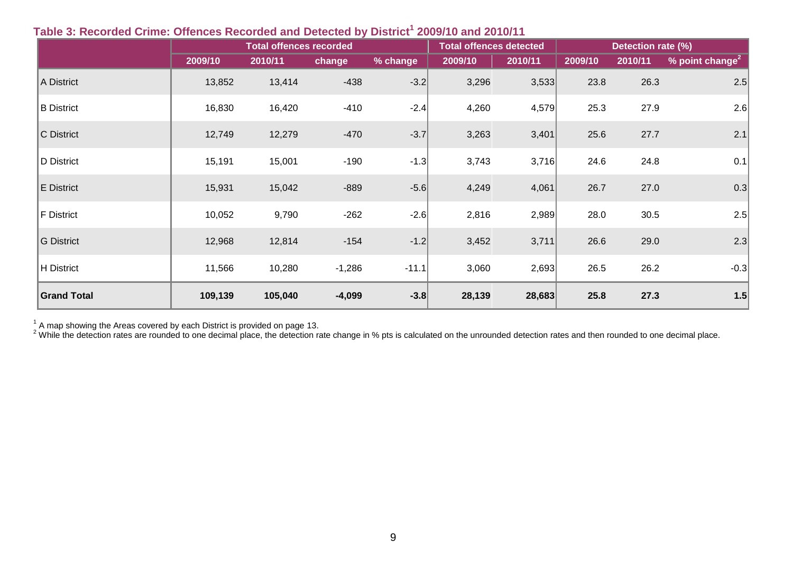|                    |         | <b>Total offences detected</b> |          | Detection rate (%) |         |         |         |         |                                      |
|--------------------|---------|--------------------------------|----------|--------------------|---------|---------|---------|---------|--------------------------------------|
|                    | 2009/10 | 2010/11                        | change   | % change           | 2009/10 | 2010/11 | 2009/10 | 2010/11 | $\sqrt{ }$ point change <sup>2</sup> |
| A District         | 13,852  | 13,414                         | $-438$   | $-3.2$             | 3,296   | 3,533   | 23.8    | 26.3    | 2.5                                  |
| <b>B</b> District  | 16,830  | 16,420                         | $-410$   | $-2.4$             | 4,260   | 4,579   | 25.3    | 27.9    | 2.6                                  |
| C District         | 12,749  | 12,279                         | $-470$   | $-3.7$             | 3,263   | 3,401   | 25.6    | 27.7    | 2.1                                  |
| D District         | 15,191  | 15,001                         | $-190$   | $-1.3$             | 3,743   | 3,716   | 24.6    | 24.8    | 0.1                                  |
| E District         | 15,931  | 15,042                         | $-889$   | $-5.6$             | 4,249   | 4,061   | 26.7    | 27.0    | 0.3                                  |
| F District         | 10,052  | 9,790                          | $-262$   | $-2.6$             | 2,816   | 2,989   | 28.0    | 30.5    | 2.5                                  |
| G District         | 12,968  | 12,814                         | $-154$   | $-1.2$             | 3,452   | 3,711   | 26.6    | 29.0    | 2.3                                  |
| H District         | 11,566  | 10,280                         | $-1,286$ | $-11.1$            | 3,060   | 2,693   | 26.5    | 26.2    | $-0.3$                               |
| <b>Grand Total</b> | 109,139 | 105,040                        | $-4,099$ | $-3.8$             | 28,139  | 28,683  | 25.8    | 27.3    | 1.5                                  |

### **Table 3: Recorded Crime: Offences Recorded and Detected by District<sup>1</sup> 2009/10 and 2010/11**

 $1/2$  A map showing the Areas covered by each District is provided on page 13.

 $^2$  While the detection rates are rounded to one decimal place, the detection rate change in % pts is calculated on the unrounded detection rates and then rounded to one decimal place.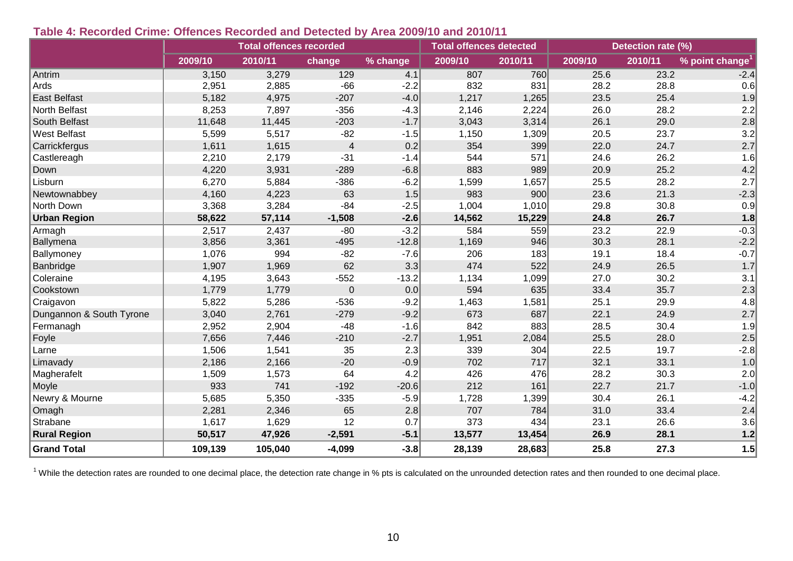#### **Table 4: Recorded Crime: Offences Recorded and Detected by Area 2009/10 and 2010/11**

|                          |         | <b>Total offences recorded</b> |                  |          | <b>Total offences detected</b> |         | Detection rate (%) |         |                             |
|--------------------------|---------|--------------------------------|------------------|----------|--------------------------------|---------|--------------------|---------|-----------------------------|
|                          | 2009/10 | 2010/11                        | change           | % change | 2009/10                        | 2010/11 | 2009/10            | 2010/11 | % point change <sup>1</sup> |
| Antrim                   | 3,150   | 3,279                          | 129              | 4.1      | 807                            | 760     | 25.6               | 23.2    | $-2.4$                      |
| Ards                     | 2,951   | 2,885                          | $-66$            | $-2.2$   | 832                            | 831     | 28.2               | 28.8    | 0.6                         |
| East Belfast             | 5,182   | 4,975                          | $-207$           | $-4.0$   | 1,217                          | 1,265   | 23.5               | 25.4    | 1.9                         |
| North Belfast            | 8,253   | 7,897                          | $-356$           | $-4.3$   | 2,146                          | 2,224   | 26.0               | 28.2    | 2.2                         |
| South Belfast            | 11,648  | 11,445                         | $-203$           | $-1.7$   | 3,043                          | 3,314   | 26.1               | 29.0    | 2.8                         |
| West Belfast             | 5,599   | 5,517                          | $-82$            | $-1.5$   | 1,150                          | 1,309   | 20.5               | 23.7    | 3.2                         |
| Carrickfergus            | 1,611   | 1,615                          | $\overline{4}$   | 0.2      | 354                            | 399     | 22.0               | 24.7    | 2.7                         |
| Castlereagh              | 2,210   | 2,179                          | $-31$            | $-1.4$   | 544                            | 571     | 24.6               | 26.2    | 1.6                         |
| Down                     | 4,220   | 3,931                          | $-289$           | $-6.8$   | 883                            | 989     | 20.9               | 25.2    | 4.2                         |
| Lisburn                  | 6,270   | 5,884                          | $-386$           | $-6.2$   | 1,599                          | 1,657   | 25.5               | 28.2    | 2.7                         |
| Newtownabbey             | 4,160   | 4,223                          | 63               | 1.5      | 983                            | 900     | 23.6               | 21.3    | $-2.3$                      |
| North Down               | 3,368   | 3,284                          | $-84$            | $-2.5$   | 1,004                          | 1,010   | 29.8               | 30.8    | 0.9                         |
| <b>Urban Region</b>      | 58,622  | 57,114                         | $-1,508$         | $-2.6$   | 14,562                         | 15,229  | 24.8               | 26.7    | 1.8                         |
| Armagh                   | 2,517   | 2,437                          | $-80$            | $-3.2$   | 584                            | 559     | 23.2               | 22.9    | $-0.3$                      |
| Ballymena                | 3,856   | 3,361                          | $-495$           | $-12.8$  | 1,169                          | 946     | 30.3               | 28.1    | $-2.2$                      |
| Ballymoney               | 1,076   | 994                            | $-82$            | $-7.6$   | 206                            | 183     | 19.1               | 18.4    | $-0.7$                      |
| Banbridge                | 1,907   | 1,969                          | 62               | 3.3      | 474                            | 522     | 24.9               | 26.5    | 1.7                         |
| Coleraine                | 4,195   | 3,643                          | $-552$           | $-13.2$  | 1,134                          | 1,099   | 27.0               | 30.2    | 3.1                         |
| Cookstown                | 1,779   | 1,779                          | $\boldsymbol{0}$ | 0.0      | 594                            | 635     | 33.4               | 35.7    | 2.3                         |
| Craigavon                | 5,822   | 5,286                          | $-536$           | $-9.2$   | 1,463                          | 1,581   | 25.1               | 29.9    | 4.8                         |
| Dungannon & South Tyrone | 3,040   | 2,761                          | $-279$           | $-9.2$   | 673                            | 687     | 22.1               | 24.9    | 2.7                         |
| Fermanagh                | 2,952   | 2,904                          | $-48$            | $-1.6$   | 842                            | 883     | 28.5               | 30.4    | 1.9                         |
| Foyle                    | 7,656   | 7,446                          | $-210$           | $-2.7$   | 1,951                          | 2,084   | 25.5               | 28.0    | 2.5                         |
| Larne                    | 1,506   | 1,541                          | 35               | 2.3      | 339                            | 304     | 22.5               | 19.7    | $-2.8$                      |
| Limavady                 | 2,186   | 2,166                          | $-20$            | $-0.9$   | 702                            | 717     | 32.1               | 33.1    | 1.0                         |
| Magherafelt              | 1,509   | 1,573                          | 64               | 4.2      | 426                            | 476     | 28.2               | 30.3    | 2.0                         |
| Moyle                    | 933     | 741                            | $-192$           | $-20.6$  | 212                            | 161     | 22.7               | 21.7    | $-1.0$                      |
| Newry & Mourne           | 5,685   | 5,350                          | $-335$           | $-5.9$   | 1,728                          | 1,399   | 30.4               | 26.1    | $-4.2$                      |
| Omagh                    | 2,281   | 2,346                          | 65               | 2.8      | 707                            | 784     | 31.0               | 33.4    | 2.4                         |
| Strabane                 | 1,617   | 1,629                          | 12               | 0.7      | 373                            | 434     | 23.1               | 26.6    | 3.6                         |
| <b>Rural Region</b>      | 50,517  | 47,926                         | $-2,591$         | $-5.1$   | 13,577                         | 13,454  | 26.9               | 28.1    | $1.2$                       |
| <b>Grand Total</b>       | 109,139 | 105,040                        | $-4,099$         | $-3.8$   | 28,139                         | 28,683  | 25.8               | 27.3    | 1.5                         |

 $1$  While the detection rates are rounded to one decimal place, the detection rate change in % pts is calculated on the unrounded detection rates and then rounded to one decimal place.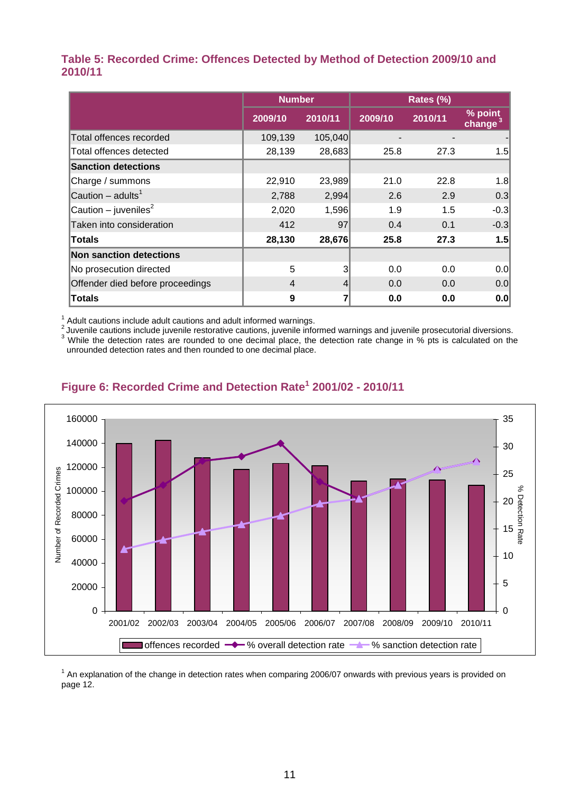#### **Table 5: Recorded Crime: Offences Detected by Method of Detection 2009/10 and 2010/11**

|                                  | <b>Number</b> |                 |         | Rates (%) |                       |  |  |  |
|----------------------------------|---------------|-----------------|---------|-----------|-----------------------|--|--|--|
|                                  | 2009/10       | 2010/11         | 2009/10 | 2010/11   | % point<br>change $3$ |  |  |  |
| <b>Total offences recorded</b>   | 109,139       | 105,040         |         |           |                       |  |  |  |
| Total offences detected          | 28,139        | 28,683          | 25.8    | 27.3      | 1.5 <sub>l</sub>      |  |  |  |
| <b>Sanction detections</b>       |               |                 |         |           |                       |  |  |  |
| Charge / summons                 | 22,910        | 23,989          | 21.0    | 22.8      | 1.8                   |  |  |  |
| Caution – adults <sup>1</sup>    | 2,788         | 2,994           | 2.6     | 2.9       | 0.3                   |  |  |  |
| Caution – juveniles <sup>2</sup> | 2,020         | 1,596           | 1.9     | 1.5       | $-0.3$                |  |  |  |
| Taken into consideration         | 412           | 97              | 0.4     | 0.1       | $-0.3$                |  |  |  |
| <b>Totals</b>                    | 28,130        | 28,676          | 25.8    | 27.3      | 1.5                   |  |  |  |
| Non sanction detections          |               |                 |         |           |                       |  |  |  |
| No prosecution directed          | 5             | 3 <sup>1</sup>  | 0.0     | 0.0       | 0.0                   |  |  |  |
| Offender died before proceedings | 4             | $\vert 4 \vert$ | 0.0     | 0.0       | 0.0                   |  |  |  |
| <b>Totals</b>                    | 9             |                 | 0.0     | 0.0       | 0.0                   |  |  |  |

 $1/$  Adult cautions include adult cautions and adult informed warnings.

2 Juvenile cautions include juvenile restorative cautions, juvenile informed warnings and juvenile prosecutorial diversions. <sup>3</sup> While the detection rates are rounded to one decimal place, the detection rate change in % pts is calculated on the unrounded detection rates and then rounded to one decimal place.



### **Figure 6: Recorded Crime and Detection Rate<sup>1</sup> 2001/02 - 2010/11**

<sup>1</sup> An explanation of the change in detection rates when comparing 2006/07 onwards with previous years is provided on page 12.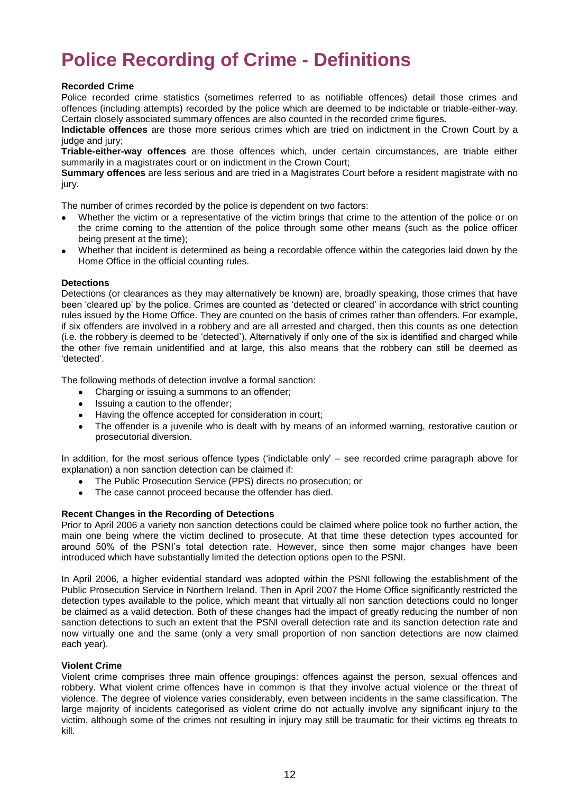# **Police Recording of Crime - Definitions**

#### **Recorded Crime**

Police recorded crime statistics (sometimes referred to as notifiable offences) detail those crimes and offences (including attempts) recorded by the police which are deemed to be indictable or triable-either-way. Certain closely associated summary offences are also counted in the recorded crime figures.

**Indictable offences** are those more serious crimes which are tried on indictment in the Crown Court by a judge and jury;

**Triable-either-way offences** are those offences which, under certain circumstances, are triable either summarily in a magistrates court or on indictment in the Crown Court;

**Summary offences** are less serious and are tried in a Magistrates Court before a resident magistrate with no jury.

The number of crimes recorded by the police is dependent on two factors:

- Whether the victim or a representative of the victim brings that crime to the attention of the police or on the crime coming to the attention of the police through some other means (such as the police officer being present at the time);
- Whether that incident is determined as being a recordable offence within the categories laid down by the Home Office in the official counting rules.

#### **Detections**

Detections (or clearances as they may alternatively be known) are, broadly speaking, those crimes that have been 'cleared up' by the police. Crimes are counted as 'detected or cleared' in accordance with strict counting rules issued by the Home Office. They are counted on the basis of crimes rather than offenders. For example, if six offenders are involved in a robbery and are all arrested and charged, then this counts as one detection (i.e. the robbery is deemed to be 'detected'). Alternatively if only one of the six is identified and charged while the other five remain unidentified and at large, this also means that the robbery can still be deemed as 'detected'.

The following methods of detection involve a formal sanction:

- Charging or issuing a summons to an offender;
- Issuing a caution to the offender;  $\bullet$
- Having the offence accepted for consideration in court;  $\bullet$
- The offender is a juvenile who is dealt with by means of an informed warning, restorative caution or  $\bullet$ prosecutorial diversion.

In addition, for the most serious offence types ('indictable only' – see recorded crime paragraph above for explanation) a non sanction detection can be claimed if:

- The Public Prosecution Service (PPS) directs no prosecution; or
- The case cannot proceed because the offender has died.  $\bullet$

#### **Recent Changes in the Recording of Detections**

Prior to April 2006 a variety non sanction detections could be claimed where police took no further action, the main one being where the victim declined to prosecute. At that time these detection types accounted for around 50% of the PSNI's total detection rate. However, since then some major changes have been introduced which have substantially limited the detection options open to the PSNI.

In April 2006, a higher evidential standard was adopted within the PSNI following the establishment of the Public Prosecution Service in Northern Ireland. Then in April 2007 the Home Office significantly restricted the detection types available to the police, which meant that virtually all non sanction detections could no longer be claimed as a valid detection. Both of these changes had the impact of greatly reducing the number of non sanction detections to such an extent that the PSNI overall detection rate and its sanction detection rate and now virtually one and the same (only a very small proportion of non sanction detections are now claimed each year).

#### **Violent Crime**

Violent crime comprises three main offence groupings: offences against the person, sexual offences and robbery. What violent crime offences have in common is that they involve actual violence or the threat of violence. The degree of violence varies considerably, even between incidents in the same classification. The large majority of incidents categorised as violent crime do not actually involve any significant injury to the victim, although some of the crimes not resulting in injury may still be traumatic for their victims eg threats to kill.